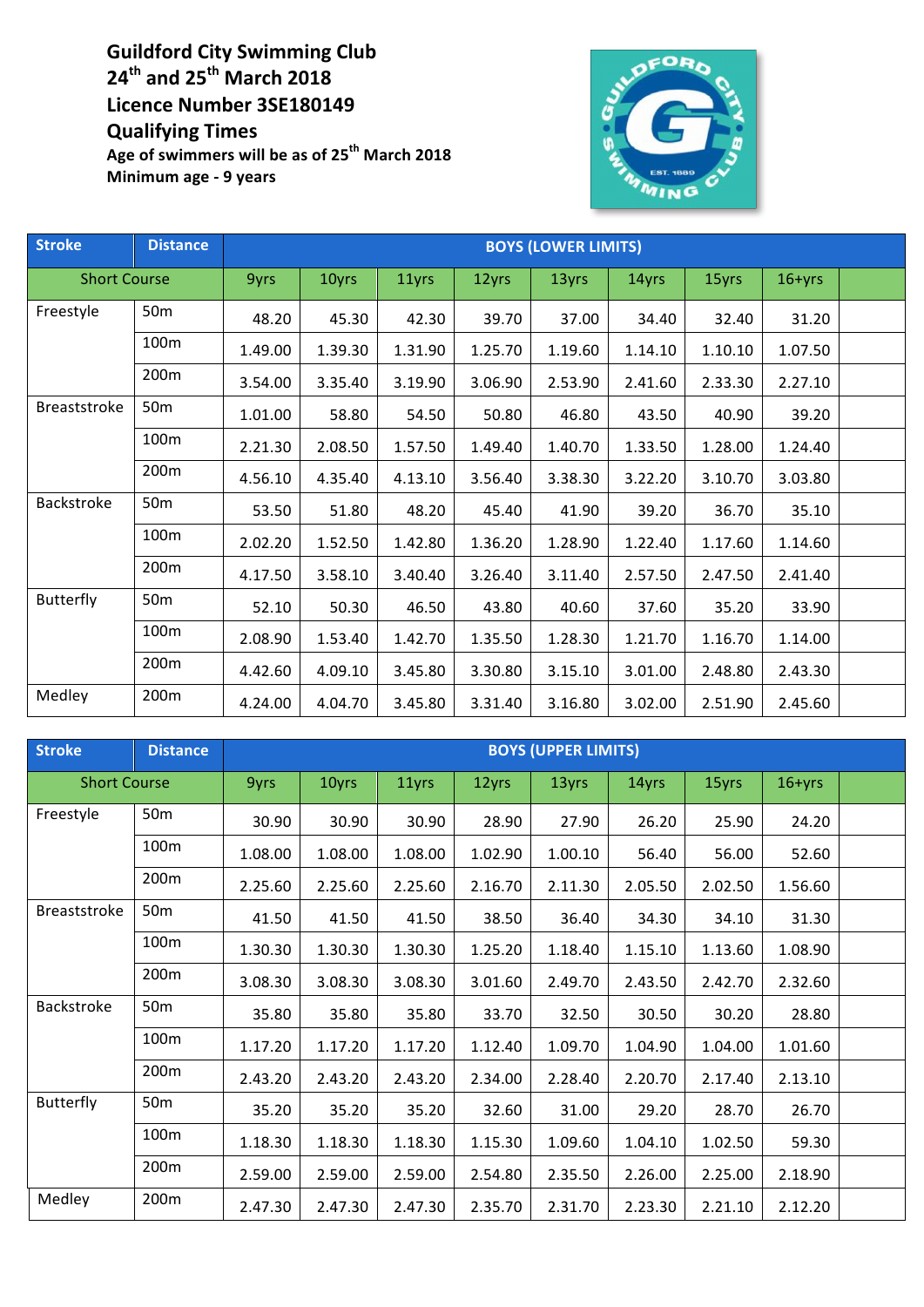**Guildford City Swimming Club 24th and 25th March 2018 Licence Number 3SE180149 Qualifying Times**

Age of swimmers will be as of 25<sup>th</sup> March 2018 **Minimum age - 9 years**



| <b>Stroke</b>       | <b>Distance</b>  | <b>BOYS (LOWER LIMITS)</b> |         |         |         |         |         |         |            |  |
|---------------------|------------------|----------------------------|---------|---------|---------|---------|---------|---------|------------|--|
| <b>Short Course</b> |                  | 9yrs                       | 10yrs   | 11yrs   | 12yrs   | 13yrs   | 14yrs   | 15yrs   | $16 + yrs$ |  |
| Freestyle           | 50 <sub>m</sub>  | 48.20                      | 45.30   | 42.30   | 39.70   | 37.00   | 34.40   | 32.40   | 31.20      |  |
|                     | 100 <sub>m</sub> | 1.49.00                    | 1.39.30 | 1.31.90 | 1.25.70 | 1.19.60 | 1.14.10 | 1.10.10 | 1.07.50    |  |
|                     | 200m             | 3.54.00                    | 3.35.40 | 3.19.90 | 3.06.90 | 2.53.90 | 2.41.60 | 2.33.30 | 2.27.10    |  |
| Breaststroke        | 50 <sub>m</sub>  | 1.01.00                    | 58.80   | 54.50   | 50.80   | 46.80   | 43.50   | 40.90   | 39.20      |  |
|                     | 100m             | 2.21.30                    | 2.08.50 | 1.57.50 | 1.49.40 | 1.40.70 | 1.33.50 | 1.28.00 | 1.24.40    |  |
|                     | 200m             | 4.56.10                    | 4.35.40 | 4.13.10 | 3.56.40 | 3.38.30 | 3.22.20 | 3.10.70 | 3.03.80    |  |
| Backstroke          | 50 <sub>m</sub>  | 53.50                      | 51.80   | 48.20   | 45.40   | 41.90   | 39.20   | 36.70   | 35.10      |  |
|                     | 100m             | 2.02.20                    | 1.52.50 | 1.42.80 | 1.36.20 | 1.28.90 | 1.22.40 | 1.17.60 | 1.14.60    |  |
|                     | 200m             | 4.17.50                    | 3.58.10 | 3.40.40 | 3.26.40 | 3.11.40 | 2.57.50 | 2.47.50 | 2.41.40    |  |
| <b>Butterfly</b>    | 50 <sub>m</sub>  | 52.10                      | 50.30   | 46.50   | 43.80   | 40.60   | 37.60   | 35.20   | 33.90      |  |
|                     | 100m             | 2.08.90                    | 1.53.40 | 1.42.70 | 1.35.50 | 1.28.30 | 1.21.70 | 1.16.70 | 1.14.00    |  |
|                     | 200 <sub>m</sub> | 4.42.60                    | 4.09.10 | 3.45.80 | 3.30.80 | 3.15.10 | 3.01.00 | 2.48.80 | 2.43.30    |  |
| Medley              | 200m             | 4.24.00                    | 4.04.70 | 3.45.80 | 3.31.40 | 3.16.80 | 3.02.00 | 2.51.90 | 2.45.60    |  |

| <b>Stroke</b>       | <b>Distance</b> | <b>BOYS (UPPER LIMITS)</b> |         |         |         |         |         |         |            |  |
|---------------------|-----------------|----------------------------|---------|---------|---------|---------|---------|---------|------------|--|
| <b>Short Course</b> |                 | 9yrs                       | 10yrs   | 11yrs   | 12yrs   | 13yrs   | 14yrs   | 15yrs   | $16 + yrs$ |  |
| Freestyle           | 50 <sub>m</sub> | 30.90                      | 30.90   | 30.90   | 28.90   | 27.90   | 26.20   | 25.90   | 24.20      |  |
|                     | 100m            | 1.08.00                    | 1.08.00 | 1.08.00 | 1.02.90 | 1.00.10 | 56.40   | 56.00   | 52.60      |  |
|                     | 200m            | 2.25.60                    | 2.25.60 | 2.25.60 | 2.16.70 | 2.11.30 | 2.05.50 | 2.02.50 | 1.56.60    |  |
| Breaststroke        | 50 <sub>m</sub> | 41.50                      | 41.50   | 41.50   | 38.50   | 36.40   | 34.30   | 34.10   | 31.30      |  |
|                     | 100m            | 1.30.30                    | 1.30.30 | 1.30.30 | 1.25.20 | 1.18.40 | 1.15.10 | 1.13.60 | 1.08.90    |  |
|                     | 200m            | 3.08.30                    | 3.08.30 | 3.08.30 | 3.01.60 | 2.49.70 | 2.43.50 | 2.42.70 | 2.32.60    |  |
| Backstroke          | 50 <sub>m</sub> | 35.80                      | 35.80   | 35.80   | 33.70   | 32.50   | 30.50   | 30.20   | 28.80      |  |
|                     | 100m            | 1.17.20                    | 1.17.20 | 1.17.20 | 1.12.40 | 1.09.70 | 1.04.90 | 1.04.00 | 1.01.60    |  |
|                     | 200m            | 2.43.20                    | 2.43.20 | 2.43.20 | 2.34.00 | 2.28.40 | 2.20.70 | 2.17.40 | 2.13.10    |  |
| Butterfly           | 50 <sub>m</sub> | 35.20                      | 35.20   | 35.20   | 32.60   | 31.00   | 29.20   | 28.70   | 26.70      |  |
|                     | 100m            | 1.18.30                    | 1.18.30 | 1.18.30 | 1.15.30 | 1.09.60 | 1.04.10 | 1.02.50 | 59.30      |  |
|                     | 200m            | 2.59.00                    | 2.59.00 | 2.59.00 | 2.54.80 | 2.35.50 | 2.26.00 | 2.25.00 | 2.18.90    |  |
| Medley              | 200m            | 2.47.30                    | 2.47.30 | 2.47.30 | 2.35.70 | 2.31.70 | 2.23.30 | 2.21.10 | 2.12.20    |  |